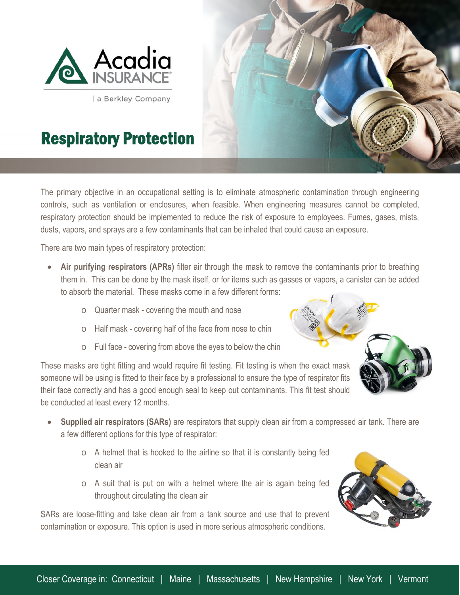

a Berkley Company



## Respiratory Protection

The primary objective in an occupational setting is to eliminate atmospheric contamination through engineering controls, such as ventilation or enclosures, when feasible. When engineering measures cannot be completed, respiratory protection should be implemented to reduce the risk of exposure to employees. Fumes, gases, mists, dusts, vapors, and sprays are a few contaminants that can be inhaled that could cause an exposure.

There are two main types of respiratory protection:

- **Air purifying respirators (APRs)** filter air through the mask to remove the contaminants prior to breathing them in. This can be done by the mask itself, or for items such as gasses or vapors, a canister can be added to absorb the material. These masks come in a few different forms:
	- o Quarter mask covering the mouth and nose
	- o Half mask covering half of the face from nose to chin
	- o Full face covering from above the eyes to below the chin

These masks are tight fitting and would require fit testing. Fit testing is when the exact mask someone will be using is fitted to their face by a professional to ensure the type of respirator fits their face correctly and has a good enough seal to keep out contaminants. This fit test should be conducted at least every 12 months.

- **Supplied air respirators (SARs)** are respirators that supply clean air from a compressed air tank. There are a few different options for this type of respirator:
	- o A helmet that is hooked to the airline so that it is constantly being fed clean air
	- $\circ$  A suit that is put on with a helmet where the air is again being fed throughout circulating the clean air

SARs are loose-fitting and take clean air from a tank source and use that to prevent contamination or exposure. This option is used in more serious atmospheric conditions.